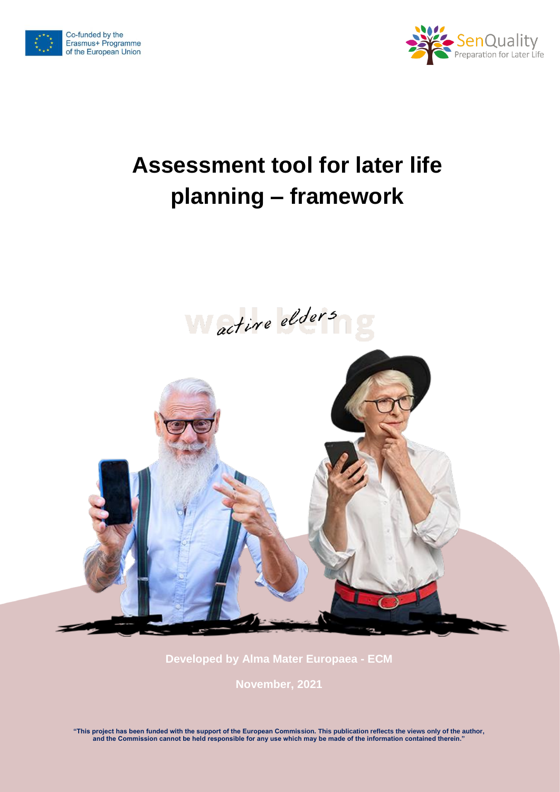



# **Assessment tool for later life planning – framework**





**Developed by Alma Mater Europaea - ECM**

**November, 2021**

**"This project has been funded with the support of the European Commission. This publication reflects the views only of the author, and the Commission cannot be held responsible for any use which may be made of the information contained therein."**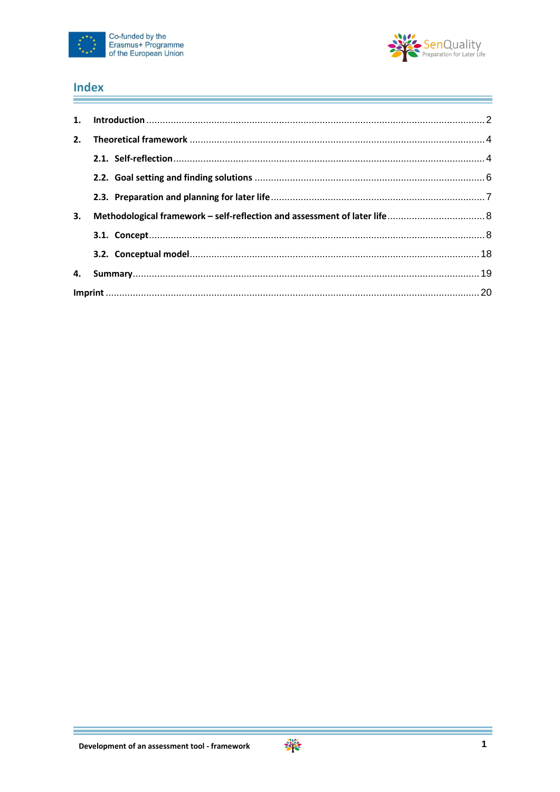



#### **Index** ÷

| 2. |  |
|----|--|
|    |  |
|    |  |
|    |  |
| 3. |  |
|    |  |
|    |  |
| 4. |  |
|    |  |

Ξ

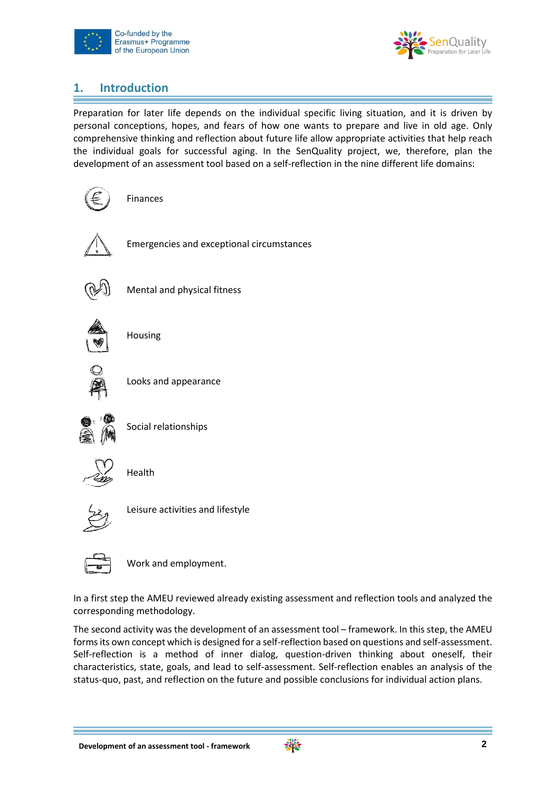



# <span id="page-2-0"></span>**1. Introduction**

Preparation for later life depends on the individual specific living situation, and it is driven by personal conceptions, hopes, and fears of how one wants to prepare and live in old age. Only comprehensive thinking and reflection about future life allow appropriate activities that help reach the individual goals for successful aging. In the SenQuality project, we, therefore, plan the development of an assessment tool based on a self-reflection in the nine different life domains:



Emergencies and exceptional circumstances



Mental and physical fitness



Housing



Looks and appearance



Social relationships



Health



Leisure activities and lifestyle



Work and employment.

In a first step the AMEU reviewed already existing assessment and reflection tools and analyzed the corresponding methodology.

The second activity was the development of an assessment tool – framework. In this step, the AMEU forms its own concept which is designed for a self-reflection based on questions and self-assessment. Self-reflection is a method of inner dialog, question-driven thinking about oneself, their characteristics, state, goals, and lead to self-assessment. Self-reflection enables an analysis of the status-quo, past, and reflection on the future and possible conclusions for individual action plans.

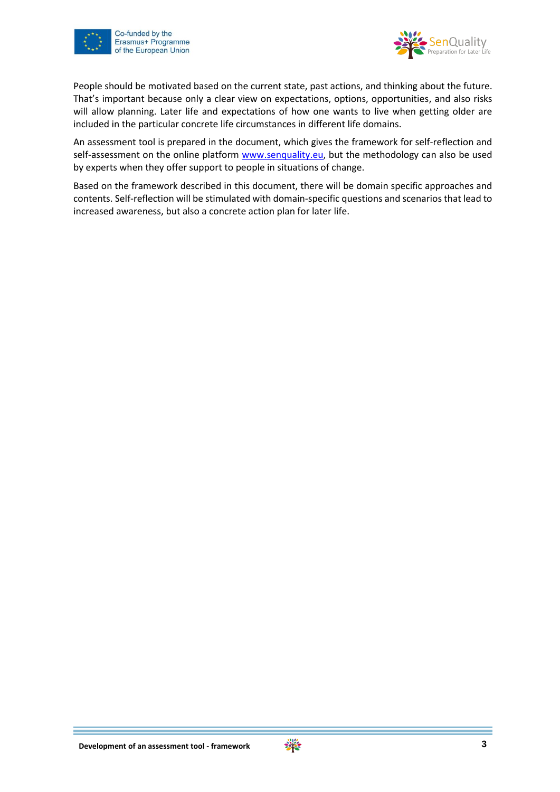



People should be motivated based on the current state, past actions, and thinking about the future. That's important because only a clear view on expectations, options, opportunities, and also risks will allow planning. Later life and expectations of how one wants to live when getting older are included in the particular concrete life circumstances in different life domains.

An assessment tool is prepared in the document, which gives the framework for self-reflection and self-assessment on the online platform [www.senquality.eu,](http://www.senquality.eu/) but the methodology can also be used by experts when they offer support to people in situations of change.

Based on the framework described in this document, there will be domain specific approaches and contents. Self-reflection will be stimulated with domain-specific questions and scenarios that lead to increased awareness, but also a concrete action plan for later life.

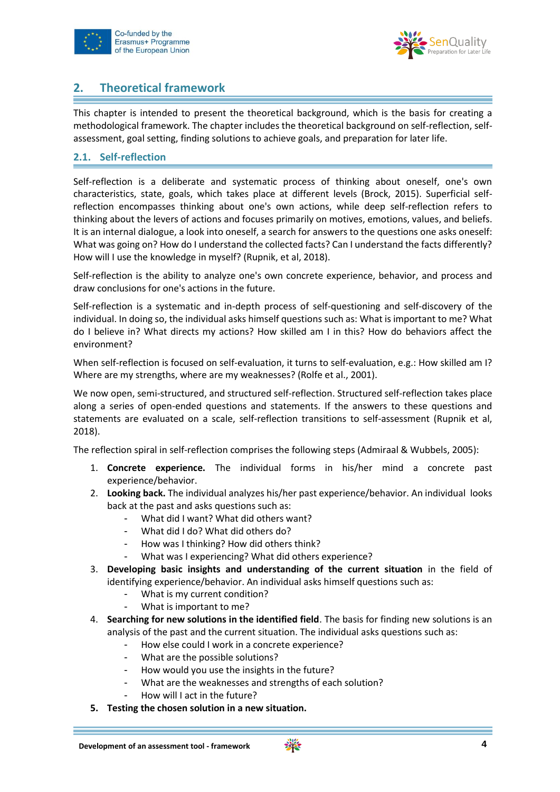



# <span id="page-4-0"></span>**2. Theoretical framework**

This chapter is intended to present the theoretical background, which is the basis for creating a methodological framework. The chapter includes the theoretical background on self-reflection, selfassessment, goal setting, finding solutions to achieve goals, and preparation for later life.

### <span id="page-4-1"></span>**2.1. Self-reflection**

Self-reflection is a deliberate and systematic process of thinking about oneself, one's own characteristics, state, goals, which takes place at different levels (Brock, 2015). Superficial selfreflection encompasses thinking about one's own actions, while deep self-reflection refers to thinking about the levers of actions and focuses primarily on motives, emotions, values, and beliefs. It is an internal dialogue, a look into oneself, a search for answers to the questions one asks oneself: What was going on? How do I understand the collected facts? Can I understand the facts differently? How will I use the knowledge in myself? (Rupnik, et al, 2018).

Self-reflection is the ability to analyze one's own concrete experience, behavior, and process and draw conclusions for one's actions in the future.

Self-reflection is a systematic and in-depth process of self-questioning and self-discovery of the individual. In doing so, the individual asks himself questions such as: What is important to me? What do I believe in? What directs my actions? How skilled am I in this? How do behaviors affect the environment?

When self-reflection is focused on self-evaluation, it turns to self-evaluation, e.g.: How skilled am I? Where are my strengths, where are my weaknesses? (Rolfe et al., 2001).

We now open, semi-structured, and structured self-reflection. Structured self-reflection takes place along a series of open-ended questions and statements. If the answers to these questions and statements are evaluated on a scale, self-reflection transitions to self-assessment (Rupnik et al, 2018).

The reflection spiral in self-reflection comprises the following steps (Admiraal & Wubbels, 2005):

- 1. **Concrete experience.** The individual forms in his/her mind a concrete past experience/behavior.
- 2. **Looking back.** The individual analyzes his/her past experience/behavior. An individual looks back at the past and asks questions such as:
	- What did I want? What did others want?
	- What did I do? What did others do?
	- How was I thinking? How did others think?
	- What was I experiencing? What did others experience?
- 3. **Developing basic insights and understanding of the current situation** in the field of identifying experience/behavior. An individual asks himself questions such as:
	- What is my current condition?
	- What is important to me?
- 4. **Searching for new solutions in the identified field**. The basis for finding new solutions is an analysis of the past and the current situation. The individual asks questions such as:
	- How else could I work in a concrete experience?
	- What are the possible solutions?
	- How would you use the insights in the future?
	- What are the weaknesses and strengths of each solution?
	- How will I act in the future?
- **5. Testing the chosen solution in a new situation.**

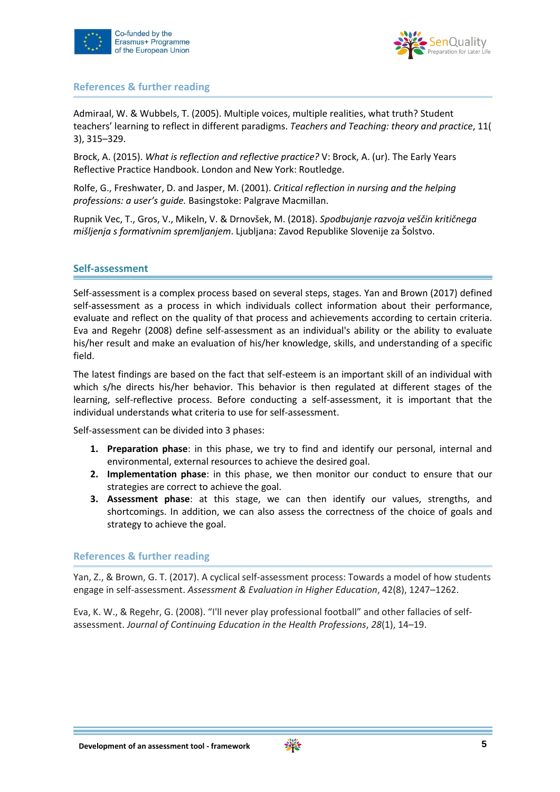



#### **References & further reading**

Admiraal, W. & Wubbels, T. (2005). Multiple voices, multiple realities, what truth? Student teachers' learning to reflect in different paradigms. *Teachers and Teaching: theory and practice*, 11( 3), 315–329.

Brock, A. (2015). *What is reflection and reflective practice?* V: Brock, A. (ur). The Early Years Reflective Practice Handbook. London and New York: Routledge.

Rolfe, G., Freshwater, D. and Jasper, M. (2001). *Critical reflection in nursing and the helping professions: a user's guide.* Basingstoke: Palgrave Macmillan.

Rupnik Vec, T., Gros, V., Mikeln, V. & Drnovšek, M. (2018). *Spodbujanje razvoja veščin kritičnega mišljenja s formativnim spremljanjem*. Ljubljana: Zavod Republike Slovenije za Šolstvo.

#### **Self-assessment**

Self-assessment is a complex process based on several steps, stages. Yan and Brown (2017) defined self-assessment as a process in which individuals collect information about their performance, evaluate and reflect on the quality of that process and achievements according to certain criteria. Eva and Regehr (2008) define self-assessment as an individual's ability or the ability to evaluate his/her result and make an evaluation of his/her knowledge, skills, and understanding of a specific field.

The latest findings are based on the fact that self-esteem is an important skill of an individual with which s/he directs his/her behavior. This behavior is then regulated at different stages of the learning, self-reflective process. Before conducting a self-assessment, it is important that the individual understands what criteria to use for self-assessment.

Self-assessment can be divided into 3 phases:

- **1. Preparation phase**: in this phase, we try to find and identify our personal, internal and environmental, external resources to achieve the desired goal.
- **2. Implementation phase**: in this phase, we then monitor our conduct to ensure that our strategies are correct to achieve the goal.
- **3. Assessment phase**: at this stage, we can then identify our values, strengths, and shortcomings. In addition, we can also assess the correctness of the choice of goals and strategy to achieve the goal.

#### **References & further reading**

Yan, Z., & Brown, G. T. (2017). A cyclical self-assessment process: Towards a model of how students engage in self-assessment. *Assessment & Evaluation in Higher Education*, 42(8), 1247–1262.

Eva, K. W., & Regehr, G. (2008). "I'll never play professional football" and other fallacies of self‐ assessment. *Journal of Continuing Education in the Health Professions*, *28*(1), 14–19.

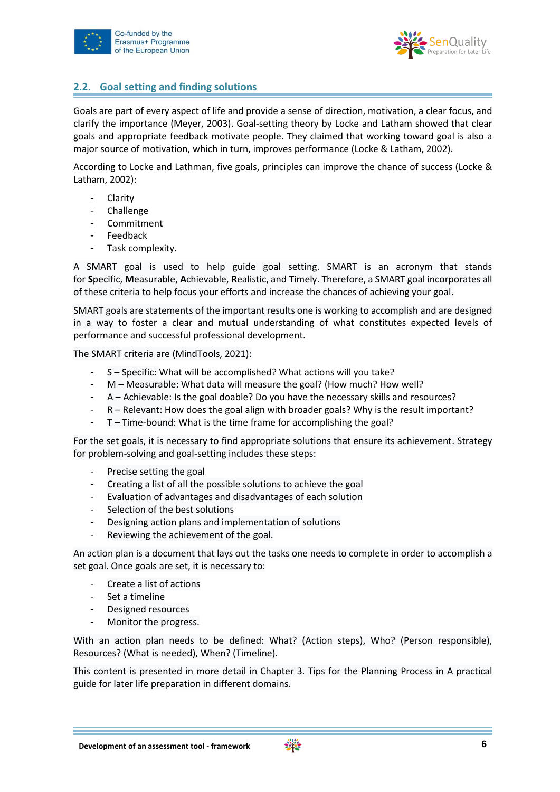



# <span id="page-6-0"></span>**2.2. Goal setting and finding solutions**

Goals are part of every aspect of life and provide a sense of direction, motivation, a clear focus, and clarify the importance (Meyer, 2003). Goal-setting theory by Locke and Latham showed that clear goals and appropriate feedback motivate people. They claimed that working toward goal is also a major source of motivation, which in turn, improves performance (Locke & Latham, 2002).

According to Locke and Lathman, five goals, principles can improve the chance of success (Locke & Latham, 2002):

- Clarity
- Challenge
- **Commitment**
- **Feedback**
- Task complexity.

A SMART goal is used to help guide goal setting. SMART is an acronym that stands for **S**pecific, **M**easurable, **A**chievable, **R**ealistic, and **T**imely. Therefore, a SMART goal incorporates all of these criteria to help focus your efforts and increase the chances of achieving your goal.

SMART goals are statements of the important results one is working to accomplish and are designed in a way to foster a clear and mutual understanding of what constitutes expected levels of performance and successful professional development.

The SMART criteria are (MindTools, 2021):

- S Specific: What will be accomplished? What actions will you take?
- M Measurable: What data will measure the goal? (How much? How well?
- A Achievable: Is the goal doable? Do you have the necessary skills and resources?
- R Relevant: How does the goal align with broader goals? Why is the result important?
- T Time-bound: What is the time frame for accomplishing the goal?

For the set goals, it is necessary to find appropriate solutions that ensure its achievement. Strategy for problem-solving and goal-setting includes these steps:

- Precise setting the goal
- Creating a list of all the possible solutions to achieve the goal
- Evaluation of advantages and disadvantages of each solution
- Selection of the best solutions
- Designing action plans and implementation of solutions
- Reviewing the achievement of the goal.

An action plan is a document that lays out the tasks one needs to complete in order to accomplish a set goal. Once goals are set, it is necessary to:

- Create a list of actions
- Set a timeline
- Designed resources
- Monitor the progress.

With an action plan needs to be defined: What? (Action steps), Who? (Person responsible), Resources? (What is needed), When? (Timeline).

This content is presented in more detail in Chapter 3. Tips for the Planning Process in A practical guide for later life preparation in different domains.

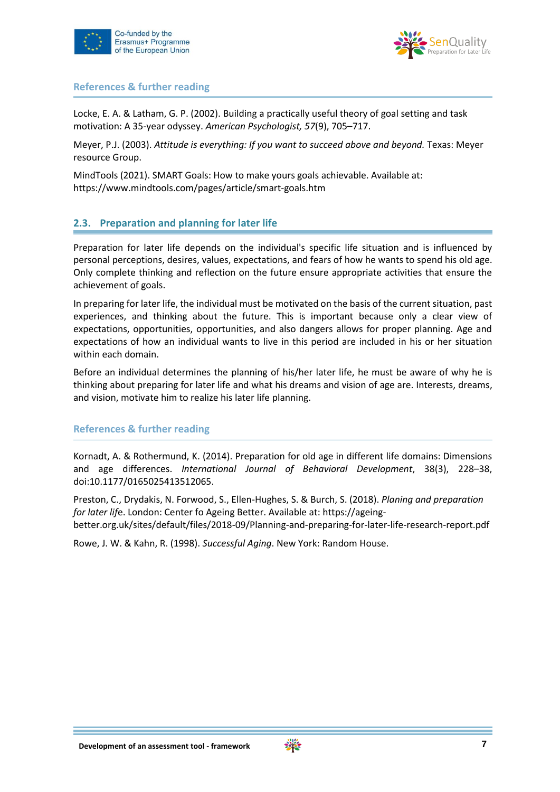



#### **References & further reading**

Locke, E. A. & Latham, G. P. (2002). Building a practically useful theory of goal setting and task motivation: A 35-year odyssey. *American Psychologist, 57*(9), 705–717.

Meyer, P.J. (2003). *Attitude is everything: If you want to succeed above and beyond.* Texas: Meyer resource Group.

MindTools (2021). SMART Goals: How to make yours goals achievable. Available at: https://www.mindtools.com/pages/article/smart-goals.htm

# <span id="page-7-0"></span>**2.3. Preparation and planning for later life**

Preparation for later life depends on the individual's specific life situation and is influenced by personal perceptions, desires, values, expectations, and fears of how he wants to spend his old age. Only complete thinking and reflection on the future ensure appropriate activities that ensure the achievement of goals.

In preparing for later life, the individual must be motivated on the basis of the current situation, past experiences, and thinking about the future. This is important because only a clear view of expectations, opportunities, opportunities, and also dangers allows for proper planning. Age and expectations of how an individual wants to live in this period are included in his or her situation within each domain.

Before an individual determines the planning of his/her later life, he must be aware of why he is thinking about preparing for later life and what his dreams and vision of age are. Interests, dreams, and vision, motivate him to realize his later life planning.

# **References & further reading**

Kornadt, A. & Rothermund, K. (2014). Preparation for old age in different life domains: Dimensions and age differences. *International Journal of Behavioral Development*, 38(3), 228–38, doi:10.1177/0165025413512065.

Preston, C., Drydakis, N. Forwood, S., Ellen-Hughes, S. & Burch, S. (2018). *Planing and preparation for later lif*e. London: Center fo Ageing Better. Available at: https://ageingbetter.org.uk/sites/default/files/2018-09/Planning-and-preparing-for-later-life-research-report.pdf

Rowe, J. W. & Kahn, R. (1998). *Successful Aging*. New York: Random House.

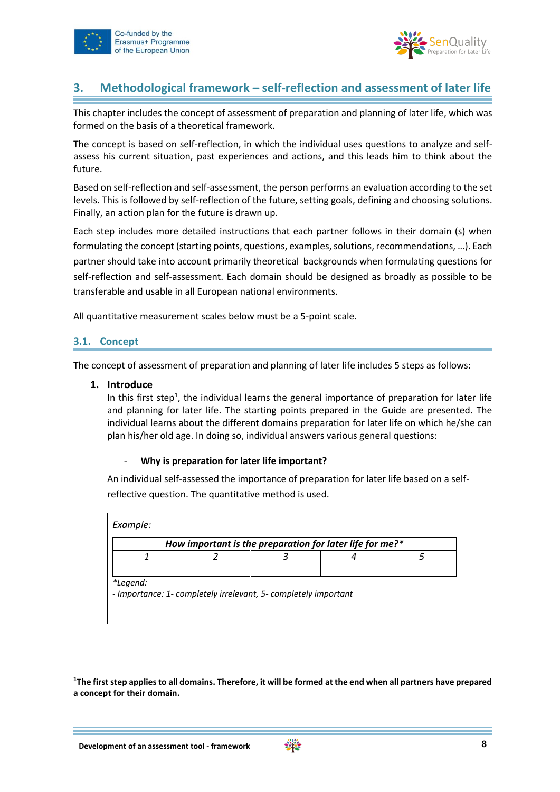



# <span id="page-8-0"></span>**3. Methodological framework – self-reflection and assessment of later life**

This chapter includes the concept of assessment of preparation and planning of later life, which was formed on the basis of a theoretical framework.

The concept is based on self-reflection, in which the individual uses questions to analyze and selfassess his current situation, past experiences and actions, and this leads him to think about the future.

Based on self-reflection and self-assessment, the person performs an evaluation according to the set levels. This is followed by self-reflection of the future, setting goals, defining and choosing solutions. Finally, an action plan for the future is drawn up.

Each step includes more detailed instructions that each partner follows in their domain (s) when formulating the concept (starting points, questions, examples, solutions, recommendations, …). Each partner should take into account primarily theoretical backgrounds when formulating questions for self-reflection and self-assessment. Each domain should be designed as broadly as possible to be transferable and usable in all European national environments.

All quantitative measurement scales below must be a 5-point scale.

# <span id="page-8-1"></span>**3.1. Concept**

-

The concept of assessment of preparation and planning of later life includes 5 steps as follows:

#### **1. Introduce**

In this first step<sup>1</sup>, the individual learns the general importance of preparation for later life and planning for later life. The starting points prepared in the Guide are presented. The individual learns about the different domains preparation for later life on which he/she can plan his/her old age. In doing so, individual answers various general questions:

#### - **Why is preparation for later life important?**

An individual self-assessed the importance of preparation for later life based on a selfreflective question. The quantitative method is used.

|  | How important is the preparation for later life for me?* |  |
|--|----------------------------------------------------------|--|
|  |                                                          |  |
|  |                                                          |  |

**<sup>1</sup>The first step applies to all domains. Therefore, it will be formed at the end when all partners have prepared a concept for their domain.**

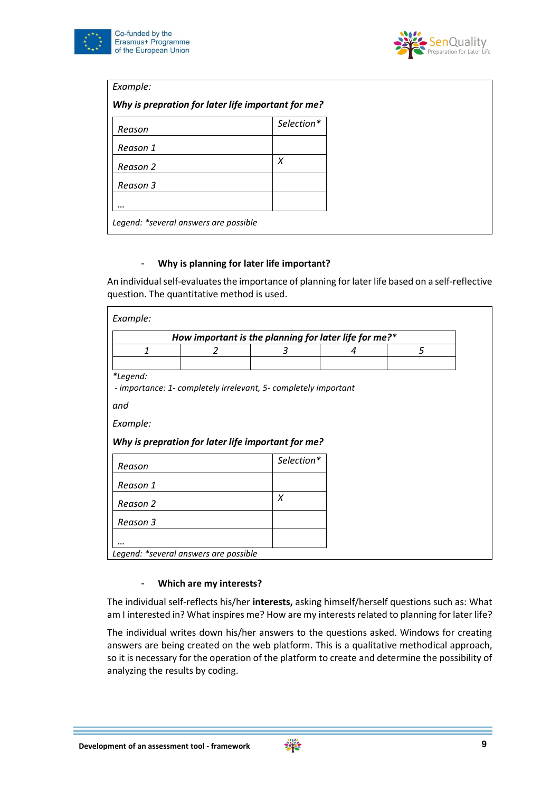



| Example:                                           |            |
|----------------------------------------------------|------------|
| Why is prepration for later life important for me? |            |
| Reason                                             | Selection* |
| Reason 1                                           |            |
| Reason 2                                           | X          |
| Reason 3                                           |            |
|                                                    |            |
| Legend: *several answers are possible              |            |

#### - **Why is planning for later life important?**

An individual self-evaluates the importance of planning for later life based on a self-reflective question. The quantitative method is used.

|                                            |   | How important is the planning for later life for me?*           |   |
|--------------------------------------------|---|-----------------------------------------------------------------|---|
| $\mathbf{1}$                               | 2 | 3                                                               | 4 |
|                                            |   |                                                                 |   |
| *Legend:                                   |   |                                                                 |   |
|                                            |   | - importance: 1- completely irrelevant, 5- completely important |   |
|                                            |   |                                                                 |   |
| Example:                                   |   |                                                                 |   |
|                                            |   |                                                                 |   |
|                                            |   |                                                                 |   |
|                                            |   | Why is prepration for later life important for me?              |   |
|                                            |   | Selection*                                                      |   |
|                                            |   |                                                                 |   |
|                                            |   |                                                                 |   |
|                                            |   | X                                                               |   |
|                                            |   |                                                                 |   |
| Reason<br>Reason 1<br>Reason 2<br>Reason 3 |   |                                                                 |   |
|                                            |   |                                                                 |   |

#### - **Which are my interests?**

The individual self-reflects his/her **interests,** asking himself/herself questions such as: What am I interested in? What inspires me? How are my interests related to planning for later life?

The individual writes down his/her answers to the questions asked. Windows for creating answers are being created on the web platform. This is a qualitative methodical approach, so it is necessary for the operation of the platform to create and determine the possibility of analyzing the results by coding.

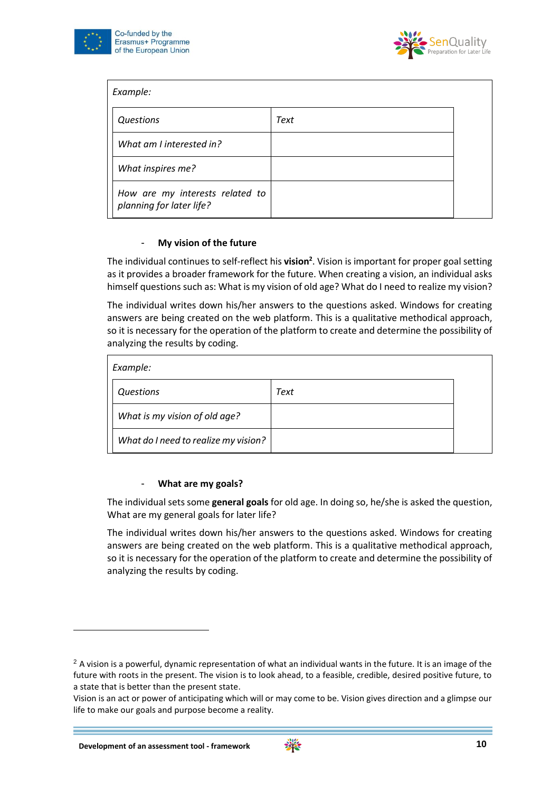



| Example:                                                    |      |  |
|-------------------------------------------------------------|------|--|
| Questions                                                   | Text |  |
| What am I interested in?                                    |      |  |
| What inspires me?                                           |      |  |
| How are my interests related to<br>planning for later life? |      |  |

#### - **My vision of the future**

The individual continues to self-reflect his **vision<sup>2</sup>** . Vision is important for proper goal setting as it provides a broader framework for the future. When creating a vision, an individual asks himself questions such as: What is my vision of old age? What do I need to realize my vision?

The individual writes down his/her answers to the questions asked. Windows for creating answers are being created on the web platform. This is a qualitative methodical approach, so it is necessary for the operation of the platform to create and determine the possibility of analyzing the results by coding.

| Example:                             |      |
|--------------------------------------|------|
| Questions                            | Text |
| What is my vision of old age?        |      |
| What do I need to realize my vision? |      |

#### - **What are my goals?**

The individual sets some **general goals** for old age. In doing so, he/she is asked the question, What are my general goals for later life?

The individual writes down his/her answers to the questions asked. Windows for creating answers are being created on the web platform. This is a qualitative methodical approach, so it is necessary for the operation of the platform to create and determine the possibility of analyzing the results by coding.

-



<sup>&</sup>lt;sup>2</sup> A vision is a powerful, dynamic representation of what an individual wants in the future. It is an image of the future with roots in the present. The vision is to look ahead, to a feasible, credible, desired positive future, to a state that is better than the present state.

Vision is an act or power of anticipating which will or may come to be. Vision gives direction and a glimpse our life to make our goals and purpose become a reality.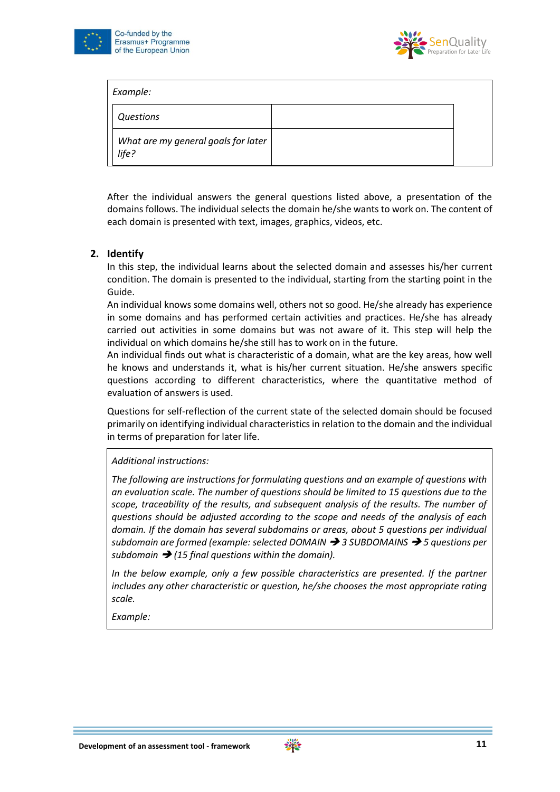



| Example:                                     |  |
|----------------------------------------------|--|
| Questions                                    |  |
| What are my general goals for later<br>life? |  |

After the individual answers the general questions listed above, a presentation of the domains follows. The individual selects the domain he/she wants to work on. The content of each domain is presented with text, images, graphics, videos, etc.

# **2. Identify**

In this step, the individual learns about the selected domain and assesses his/her current condition. The domain is presented to the individual, starting from the starting point in the Guide.

An individual knows some domains well, others not so good. He/she already has experience in some domains and has performed certain activities and practices. He/she has already carried out activities in some domains but was not aware of it. This step will help the individual on which domains he/she still has to work on in the future.

An individual finds out what is characteristic of a domain, what are the key areas, how well he knows and understands it, what is his/her current situation. He/she answers specific questions according to different characteristics, where the quantitative method of evaluation of answers is used.

Questions for self-reflection of the current state of the selected domain should be focused primarily on identifying individual characteristics in relation to the domain and the individual in terms of preparation for later life.

*Additional instructions:*

*The following are instructions for formulating questions and an example of questions with an evaluation scale. The number of questions should be limited to 15 questions due to the scope, traceability of the results, and subsequent analysis of the results. The number of questions should be adjusted according to the scope and needs of the analysis of each domain. If the domain has several subdomains or areas, about 5 questions per individual subdomain are formed (example: selected DOMAIN* ➔ *3 SUBDOMAINS* ➔ *5 questions per subdomain* ➔ *(15 final questions within the domain).*

*In the below example, only a few possible characteristics are presented. If the partner includes any other characteristic or question, he/she chooses the most appropriate rating scale.*

*Example:*

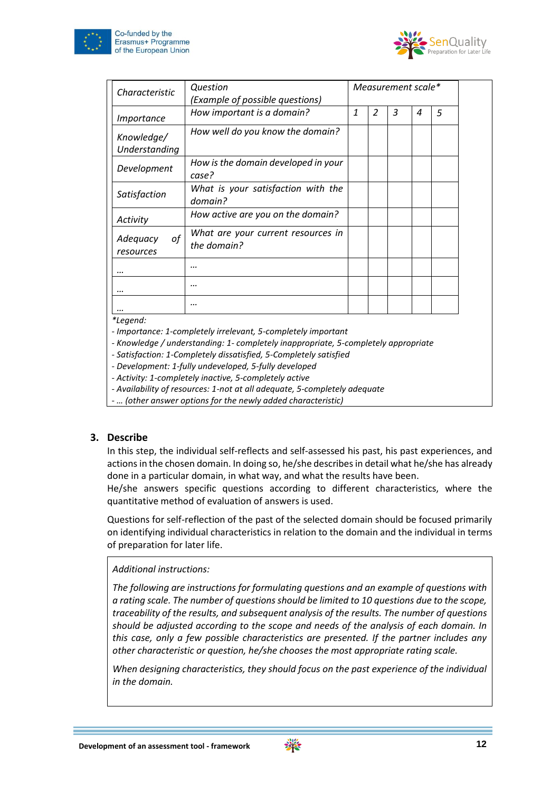



| Characteristic              | Question<br>(Example of possible questions)       |   |                |   | Measurement scale* |   |
|-----------------------------|---------------------------------------------------|---|----------------|---|--------------------|---|
| Importance                  | How important is a domain?                        | 1 | $\overline{z}$ | 3 | 4                  | 5 |
| Knowledge/<br>Understanding | How well do you know the domain?                  |   |                |   |                    |   |
| Development                 | How is the domain developed in your<br>case?      |   |                |   |                    |   |
| Satisfaction                | What is your satisfaction with the<br>domain?     |   |                |   |                    |   |
| Activity                    | How active are you on the domain?                 |   |                |   |                    |   |
| οf<br>Adequacy<br>resources | What are your current resources in<br>the domain? |   |                |   |                    |   |
|                             |                                                   |   |                |   |                    |   |
|                             |                                                   |   |                |   |                    |   |
| $*1$                        |                                                   |   |                |   |                    |   |

*\*Legend:*

*- Importance: 1-completely irrelevant, 5-completely important*

*- Knowledge / understanding: 1- completely inappropriate, 5-completely appropriate*

*- Satisfaction: 1-Completely dissatisfied, 5-Completely satisfied*

*- Development: 1-fully undeveloped, 5-fully developed*

*- Activity: 1-completely inactive, 5-completely active*

*- Availability of resources: 1-not at all adequate, 5-completely adequate*

*- … (other answer options for the newly added characteristic)*

#### **3. Describe**

In this step, the individual self-reflects and self-assessed his past, his past experiences, and actions in the chosen domain. In doing so, he/she describes in detail what he/she has already done in a particular domain, in what way, and what the results have been.

He/she answers specific questions according to different characteristics, where the quantitative method of evaluation of answers is used.

Questions for self-reflection of the past of the selected domain should be focused primarily on identifying individual characteristics in relation to the domain and the individual in terms of preparation for later life.

*Additional instructions:*

*The following are instructions for formulating questions and an example of questions with a rating scale. The number of questions should be limited to 10 questions due to the scope, traceability of the results, and subsequent analysis of the results. The number of questions should be adjusted according to the scope and needs of the analysis of each domain. In this case, only a few possible characteristics are presented. If the partner includes any other characteristic or question, he/she chooses the most appropriate rating scale.*

*When designing characteristics, they should focus on the past experience of the individual in the domain.*

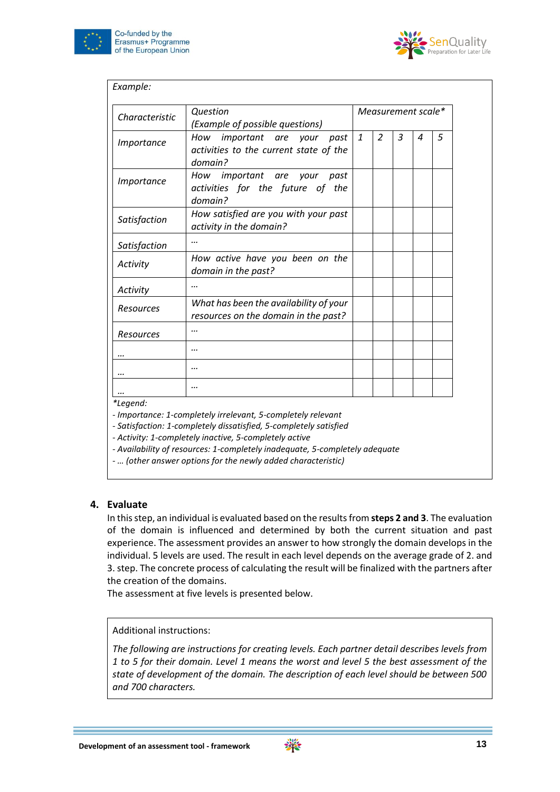



| Characteristic    | Question<br>(Example of possible questions)                                      |              |                          |   | Measurement scale* |   |
|-------------------|----------------------------------------------------------------------------------|--------------|--------------------------|---|--------------------|---|
| <i>Importance</i> | How important are your past<br>activities to the current state of the<br>domain? | $\mathbf{1}$ | $\overline{\mathcal{L}}$ | 3 | 4                  | 5 |
| <i>Importance</i> | How important are your past<br>activities for the future of the<br>domain?       |              |                          |   |                    |   |
| Satisfaction      | How satisfied are you with your past<br>activity in the domain?                  |              |                          |   |                    |   |
| Satisfaction      |                                                                                  |              |                          |   |                    |   |
| Activity          | How active have you been on the<br>domain in the past?                           |              |                          |   |                    |   |
| Activity          |                                                                                  |              |                          |   |                    |   |
| Resources         | What has been the availability of your<br>resources on the domain in the past?   |              |                          |   |                    |   |
| Resources         |                                                                                  |              |                          |   |                    |   |
|                   |                                                                                  |              |                          |   |                    |   |
|                   |                                                                                  |              |                          |   |                    |   |
|                   |                                                                                  |              |                          |   |                    |   |

*\*Legend:*

*- Importance: 1-completely irrelevant, 5-completely relevant*

*- Satisfaction: 1-completely dissatisfied, 5-completely satisfied*

*- Activity: 1-completely inactive, 5-completely active*

*- Availability of resources: 1-completely inadequate, 5-completely adequate*

*- … (other answer options for the newly added characteristic)*

#### **4. Evaluate**

In this step, an individual is evaluated based on the results from **steps 2 and 3**. The evaluation of the domain is influenced and determined by both the current situation and past experience. The assessment provides an answer to how strongly the domain develops in the individual. 5 levels are used. The result in each level depends on the average grade of 2. and 3. step. The concrete process of calculating the result will be finalized with the partners after the creation of the domains.

The assessment at five levels is presented below.

Additional instructions:

*The following are instructions for creating levels. Each partner detail describes levels from 1 to 5 for their domain. Level 1 means the worst and level 5 the best assessment of the state of development of the domain. The description of each level should be between 500 and 700 characters.*

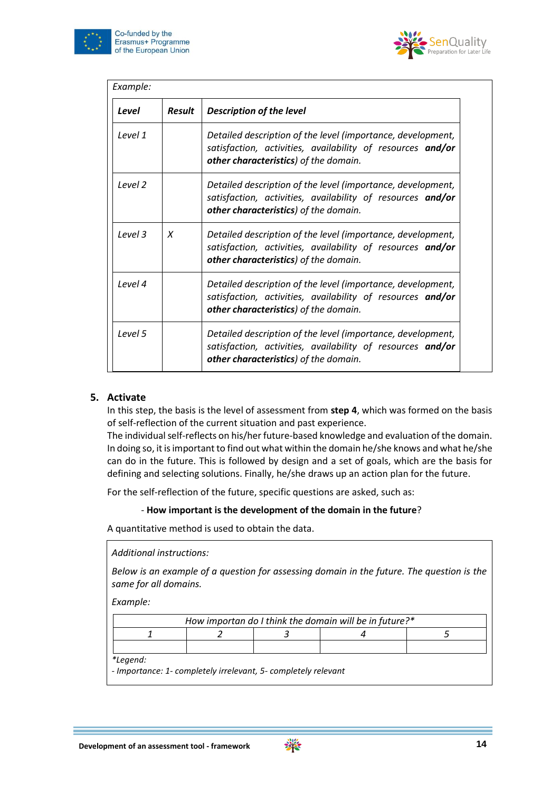



| Level              | <b>Result</b> | <b>Description of the level</b>                                                                                                                                    |
|--------------------|---------------|--------------------------------------------------------------------------------------------------------------------------------------------------------------------|
| Level 1            |               | Detailed description of the level (importance, development,<br>satisfaction, activities, availability of resources and/or<br>other characteristics) of the domain. |
| Level 2            |               | Detailed description of the level (importance, development,<br>satisfaction, activities, availability of resources and/or<br>other characteristics) of the domain. |
| Level <sub>3</sub> | X             | Detailed description of the level (importance, development,<br>satisfaction, activities, availability of resources and/or<br>other characteristics) of the domain. |
| Level 4            |               | Detailed description of the level (importance, development,<br>satisfaction, activities, availability of resources and/or<br>other characteristics) of the domain. |
| Level 5            |               | Detailed description of the level (importance, development,<br>satisfaction, activities, availability of resources and/or<br>other characteristics) of the domain. |

# **5. Activate**

In this step, the basis is the level of assessment from **step 4**, which was formed on the basis of self-reflection of the current situation and past experience.

The individual self-reflects on his/her future-based knowledge and evaluation of the domain. In doing so, it is important to find out what within the domain he/she knows and what he/she can do in the future. This is followed by design and a set of goals, which are the basis for defining and selecting solutions. Finally, he/she draws up an action plan for the future.

For the self-reflection of the future, specific questions are asked, such as:

#### - **How important is the development of the domain in the future**?

A quantitative method is used to obtain the data.

*Additional instructions:*

*Below is an example of a question for assessing domain in the future. The question is the same for all domains.* 

*Example:*

| How importan do I think the domain will be in future?* |  |  |  |  |  |  |  |  |  |
|--------------------------------------------------------|--|--|--|--|--|--|--|--|--|
|                                                        |  |  |  |  |  |  |  |  |  |
|                                                        |  |  |  |  |  |  |  |  |  |

*\*Legend:*

*- Importance: 1- completely irrelevant, 5- completely relevant*

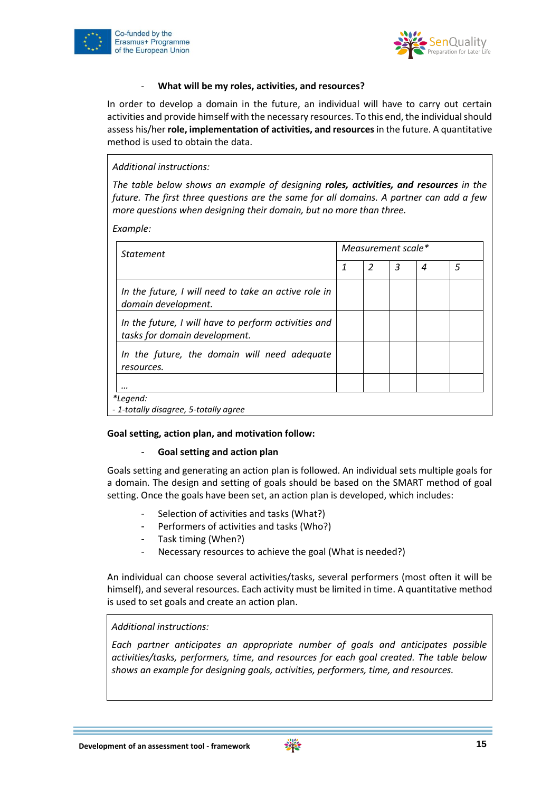



#### - **What will be my roles, activities, and resources?**

In order to develop a domain in the future, an individual will have to carry out certain activities and provide himself with the necessary resources. To this end, the individual should assess his/her **role, implementation of activities, and resources** in the future. A quantitative method is used to obtain the data.

*Additional instructions:*

*The table below shows an example of designing roles, activities, and resources in the future. The first three questions are the same for all domains. A partner can add a few more questions when designing their domain, but no more than three.* 

*Example:*

| Measurement scale* |   |   |   |   |
|--------------------|---|---|---|---|
| 1                  | 2 | 3 | 4 | 5 |
|                    |   |   |   |   |
|                    |   |   |   |   |
|                    |   |   |   |   |
|                    |   |   |   |   |
|                    |   |   |   |   |

#### **Goal setting, action plan, and motivation follow:**

# - **Goal setting and action plan**

Goals setting and generating an action plan is followed. An individual sets multiple goals for a domain. The design and setting of goals should be based on the SMART method of goal setting. Once the goals have been set, an action plan is developed, which includes:

- Selection of activities and tasks (What?)
- Performers of activities and tasks (Who?)
- Task timing (When?)
- Necessary resources to achieve the goal (What is needed?)

An individual can choose several activities/tasks, several performers (most often it will be himself), and several resources. Each activity must be limited in time. A quantitative method is used to set goals and create an action plan.

#### *Additional instructions:*

*Each partner anticipates an appropriate number of goals and anticipates possible activities/tasks, performers, time, and resources for each goal created. The table below shows an example for designing goals, activities, performers, time, and resources.*

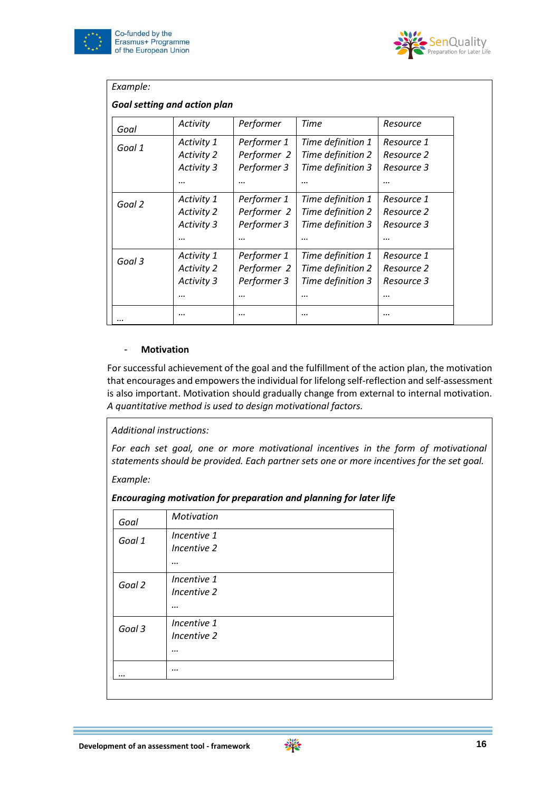



| Goal   | Activity          | Performer   | Time              | Resource   |
|--------|-------------------|-------------|-------------------|------------|
| Goal 1 | Activity 1        | Performer 1 | Time definition 1 | Resource 1 |
|        | <b>Activity 2</b> | Performer 2 | Time definition 2 | Resource 2 |
|        | Activity 3        | Performer 3 | Time definition 3 | Resource 3 |
|        |                   |             |                   |            |
| Goal 2 | Activity 1        | Performer 1 | Time definition 1 | Resource 1 |
|        | <b>Activity 2</b> | Performer 2 | Time definition 2 | Resource 2 |
|        | Activity 3        | Performer 3 | Time definition 3 | Resource 3 |
|        |                   |             |                   |            |
| Goal 3 | Activity 1        | Performer 1 | Time definition 1 | Resource 1 |
|        | <b>Activity 2</b> | Performer 2 | Time definition 2 | Resource 2 |
|        | Activity 3        | Performer 3 | Time definition 3 | Resource 3 |
|        |                   |             |                   |            |

#### - **Motivation**

For successful achievement of the goal and the fulfillment of the action plan, the motivation that encourages and empowers the individual for lifelong self-reflection and self-assessment is also important. Motivation should gradually change from external to internal motivation. *A quantitative method is used to design motivational factors.*

*Additional instructions:*

*For each set goal, one or more motivational incentives in the form of motivational statements should be provided. Each partner sets one or more incentives for the set goal.*

*Example:*

*Encouraging motivation for preparation and planning for later life*

| Goal   | Motivation  |  |  |
|--------|-------------|--|--|
| Goal 1 | Incentive 1 |  |  |
|        | Incentive 2 |  |  |
|        |             |  |  |
| Goal 2 | Incentive 1 |  |  |
|        | Incentive 2 |  |  |
|        |             |  |  |
| Goal 3 | Incentive 1 |  |  |
|        | Incentive 2 |  |  |
|        |             |  |  |
|        |             |  |  |
|        |             |  |  |

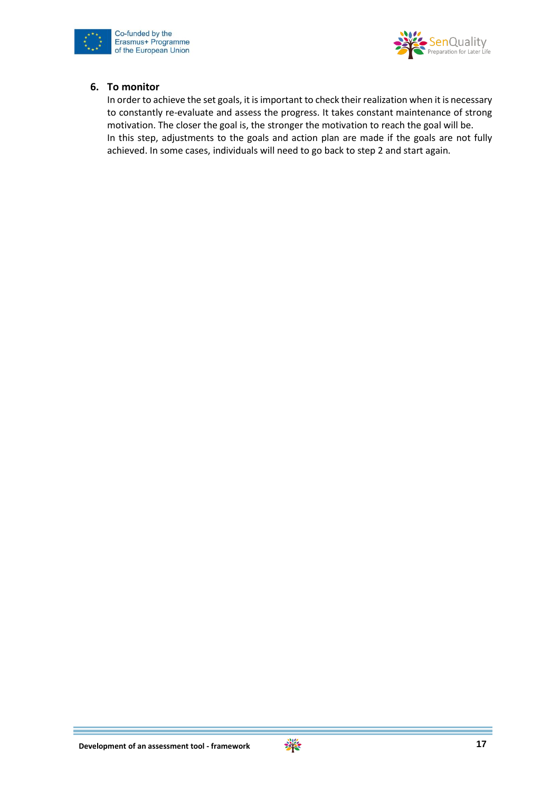



#### **6. To monitor**

In order to achieve the set goals, it is important to check their realization when it is necessary to constantly re-evaluate and assess the progress. It takes constant maintenance of strong motivation. The closer the goal is, the stronger the motivation to reach the goal will be. In this step, adjustments to the goals and action plan are made if the goals are not fully achieved. In some cases, individuals will need to go back to step 2 and start again.

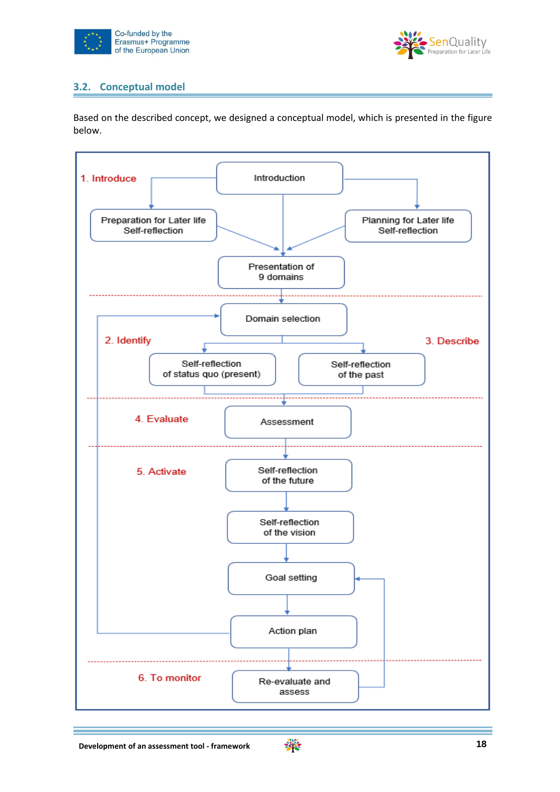



# <span id="page-18-0"></span>**3.2. Conceptual model**

Based on the described concept, we designed a conceptual model, which is presented in the figure below.



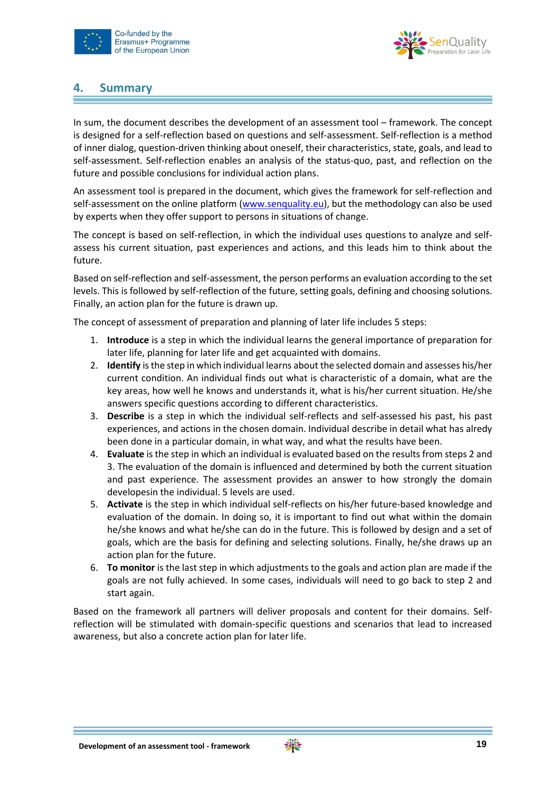



# <span id="page-19-0"></span>**4. Summary**

In sum, the document describes the development of an assessment tool – framework. The concept is designed for a self-reflection based on questions and self-assessment. Self-reflection is a method of inner dialog, question-driven thinking about oneself, their characteristics, state, goals, and lead to self-assessment. Self-reflection enables an analysis of the status-quo, past, and reflection on the future and possible conclusions for individual action plans.

An assessment tool is prepared in the document, which gives the framework for self-reflection and self-assessment on the online platform [\(www.senquality.eu\)](http://www.senquality.eu/), but the methodology can also be used by experts when they offer support to persons in situations of change.

The concept is based on self-reflection, in which the individual uses questions to analyze and selfassess his current situation, past experiences and actions, and this leads him to think about the future.

Based on self-reflection and self-assessment, the person performs an evaluation according to the set levels. This is followed by self-reflection of the future, setting goals, defining and choosing solutions. Finally, an action plan for the future is drawn up.

The concept of assessment of preparation and planning of later life includes 5 steps:

- 1. **Introduce** is a step in which the individual learns the general importance of preparation for later life, planning for later life and get acquainted with domains.
- 2. **Identify** is the step in which individual learns about the selected domain and assesses his/her current condition. An individual finds out what is characteristic of a domain, what are the key areas, how well he knows and understands it, what is his/her current situation. He/she answers specific questions according to different characteristics.
- 3. **Describe** is a step in which the individual self-reflects and self-assessed his past, his past experiences, and actions in the chosen domain. Individual describe in detail what has alredy been done in a particular domain, in what way, and what the results have been.
- 4. **Evaluate** is the step in which an individual is evaluated based on the results from steps 2 and 3. The evaluation of the domain is influenced and determined by both the current situation and past experience. The assessment provides an answer to how strongly the domain developesin the individual. 5 levels are used.
- 5. **Activate** is the step in which individual self-reflects on his/her future-based knowledge and evaluation of the domain. In doing so, it is important to find out what within the domain he/she knows and what he/she can do in the future. This is followed by design and a set of goals, which are the basis for defining and selecting solutions. Finally, he/she draws up an action plan for the future.
- 6. **To monitor** is the last step in which adjustments to the goals and action plan are made if the goals are not fully achieved. In some cases, individuals will need to go back to step 2 and start again.

Based on the framework all partners will deliver proposals and content for their domains. Selfreflection will be stimulated with domain-specific questions and scenarios that lead to increased awareness, but also a concrete action plan for later life.